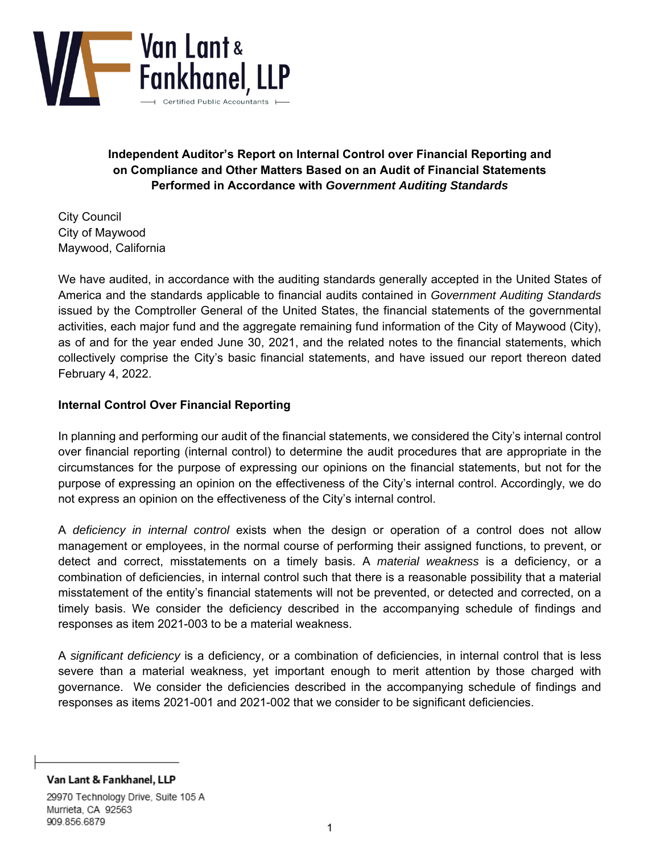

**Independent Auditor's Report on Internal Control over Financial Reporting and on Compliance and Other Matters Based on an Audit of Financial Statements Performed in Accordance with** *Government Auditing Standards* 

City Council City of Maywood Maywood, California

We have audited, in accordance with the auditing standards generally accepted in the United States of America and the standards applicable to financial audits contained in *Government Auditing Standards*  issued by the Comptroller General of the United States, the financial statements of the governmental activities, each major fund and the aggregate remaining fund information of the City of Maywood (City), as of and for the year ended June 30, 2021, and the related notes to the financial statements, which collectively comprise the City's basic financial statements, and have issued our report thereon dated February 4, 2022.

## **Internal Control Over Financial Reporting**

In planning and performing our audit of the financial statements, we considered the City's internal control over financial reporting (internal control) to determine the audit procedures that are appropriate in the circumstances for the purpose of expressing our opinions on the financial statements, but not for the purpose of expressing an opinion on the effectiveness of the City's internal control. Accordingly, we do not express an opinion on the effectiveness of the City's internal control.

A *deficiency in internal control* exists when the design or operation of a control does not allow management or employees, in the normal course of performing their assigned functions, to prevent, or detect and correct, misstatements on a timely basis. A *material weakness* is a deficiency, or a combination of deficiencies, in internal control such that there is a reasonable possibility that a material misstatement of the entity's financial statements will not be prevented, or detected and corrected, on a timely basis. We consider the deficiency described in the accompanying schedule of findings and responses as item 2021-003 to be a material weakness.

A *significant deficiency* is a deficiency, or a combination of deficiencies, in internal control that is less severe than a material weakness, yet important enough to merit attention by those charged with governance. We consider the deficiencies described in the accompanying schedule of findings and responses as items 2021-001 and 2021-002 that we consider to be significant deficiencies.

29970 Technology Drive, Suite 105 A Murrieta, CA 92563 909.856.6879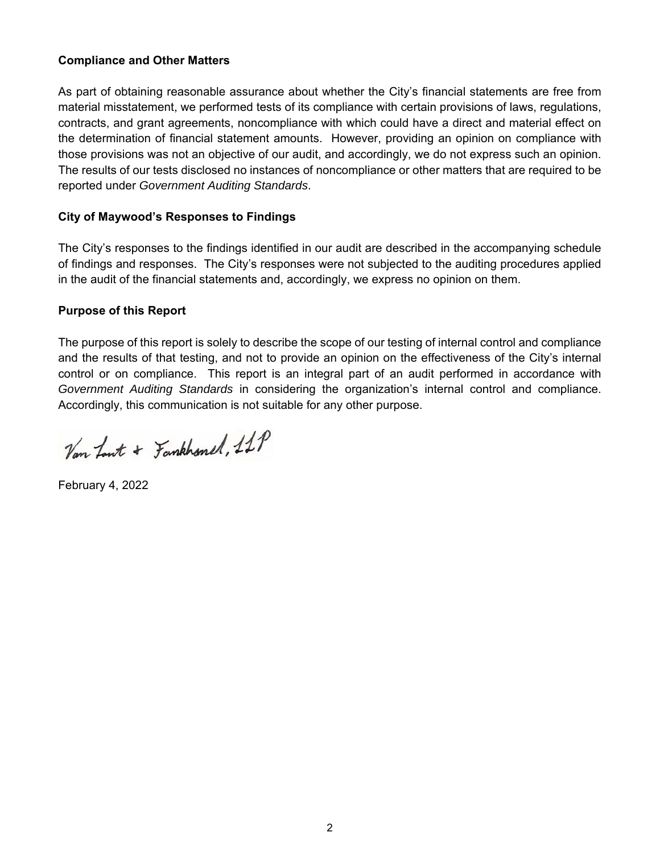## **Compliance and Other Matters**

As part of obtaining reasonable assurance about whether the City's financial statements are free from material misstatement, we performed tests of its compliance with certain provisions of laws, regulations, contracts, and grant agreements, noncompliance with which could have a direct and material effect on the determination of financial statement amounts. However, providing an opinion on compliance with those provisions was not an objective of our audit, and accordingly, we do not express such an opinion. The results of our tests disclosed no instances of noncompliance or other matters that are required to be reported under *Government Auditing Standards*.

## **City of Maywood's Responses to Findings**

The City's responses to the findings identified in our audit are described in the accompanying schedule of findings and responses. The City's responses were not subjected to the auditing procedures applied in the audit of the financial statements and, accordingly, we express no opinion on them.

## **Purpose of this Report**

The purpose of this report is solely to describe the scope of our testing of internal control and compliance and the results of that testing, and not to provide an opinion on the effectiveness of the City's internal control or on compliance. This report is an integral part of an audit performed in accordance with *Government Auditing Standards* in considering the organization's internal control and compliance. Accordingly, this communication is not suitable for any other purpose.

Van Lout + Fankhonel, 11P

February 4, 2022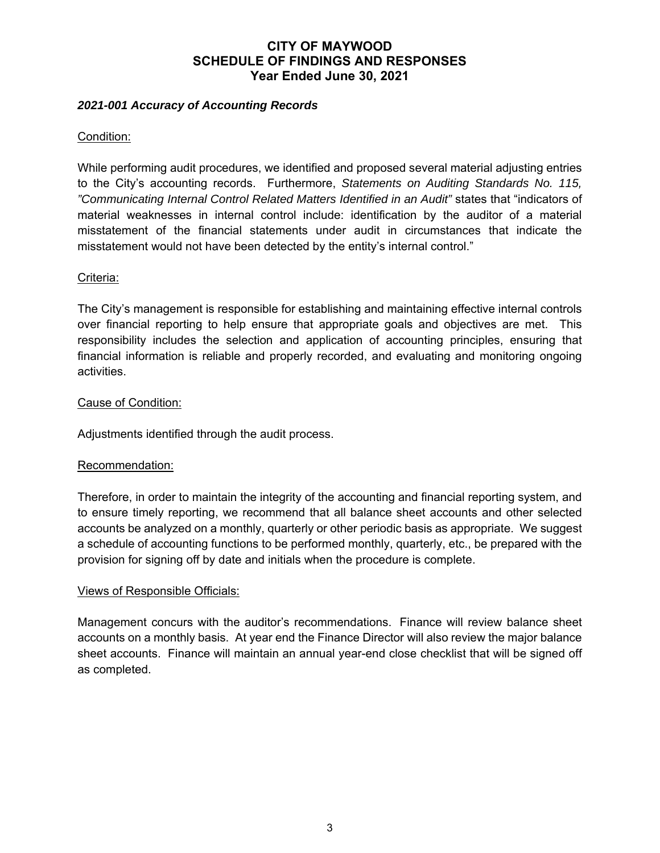# **CITY OF MAYWOOD SCHEDULE OF FINDINGS AND RESPONSES Year Ended June 30, 2021**

## *2021-001 Accuracy of Accounting Records*

## Condition:

While performing audit procedures, we identified and proposed several material adjusting entries to the City's accounting records. Furthermore, *Statements on Auditing Standards No. 115, "Communicating Internal Control Related Matters Identified in an Audit"* states that "indicators of material weaknesses in internal control include: identification by the auditor of a material misstatement of the financial statements under audit in circumstances that indicate the misstatement would not have been detected by the entity's internal control."

## Criteria:

The City's management is responsible for establishing and maintaining effective internal controls over financial reporting to help ensure that appropriate goals and objectives are met. This responsibility includes the selection and application of accounting principles, ensuring that financial information is reliable and properly recorded, and evaluating and monitoring ongoing activities.

## Cause of Condition:

Adjustments identified through the audit process.

### Recommendation:

Therefore, in order to maintain the integrity of the accounting and financial reporting system, and to ensure timely reporting, we recommend that all balance sheet accounts and other selected accounts be analyzed on a monthly, quarterly or other periodic basis as appropriate. We suggest a schedule of accounting functions to be performed monthly, quarterly, etc., be prepared with the provision for signing off by date and initials when the procedure is complete.

### Views of Responsible Officials:

Management concurs with the auditor's recommendations. Finance will review balance sheet accounts on a monthly basis. At year end the Finance Director will also review the major balance sheet accounts. Finance will maintain an annual year-end close checklist that will be signed off as completed.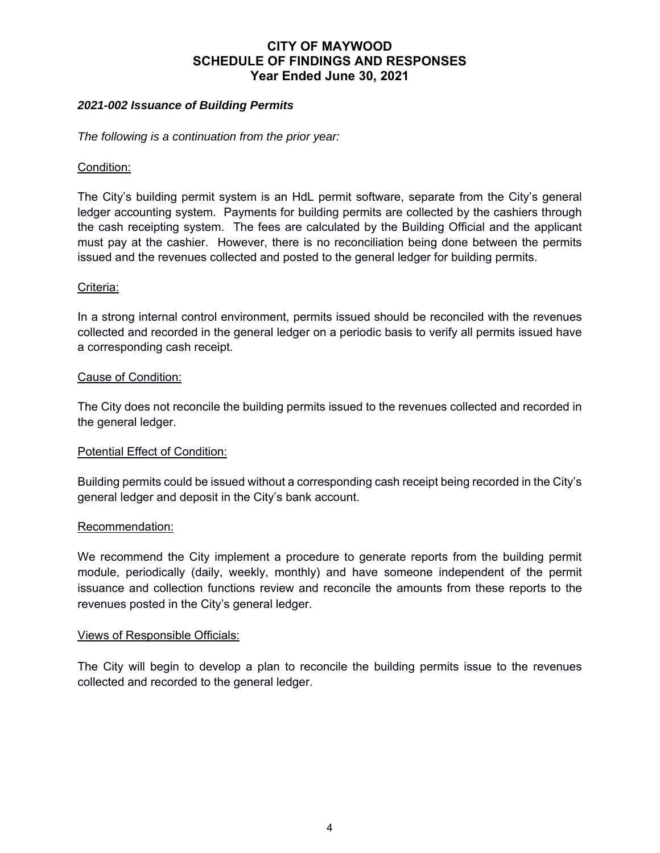# **CITY OF MAYWOOD SCHEDULE OF FINDINGS AND RESPONSES Year Ended June 30, 2021**

### *2021-002 Issuance of Building Permits*

*The following is a continuation from the prior year:* 

### Condition:

The City's building permit system is an HdL permit software, separate from the City's general ledger accounting system. Payments for building permits are collected by the cashiers through the cash receipting system. The fees are calculated by the Building Official and the applicant must pay at the cashier. However, there is no reconciliation being done between the permits issued and the revenues collected and posted to the general ledger for building permits.

## Criteria:

In a strong internal control environment, permits issued should be reconciled with the revenues collected and recorded in the general ledger on a periodic basis to verify all permits issued have a corresponding cash receipt.

## Cause of Condition:

The City does not reconcile the building permits issued to the revenues collected and recorded in the general ledger.

### Potential Effect of Condition:

Building permits could be issued without a corresponding cash receipt being recorded in the City's general ledger and deposit in the City's bank account.

### Recommendation:

We recommend the City implement a procedure to generate reports from the building permit module, periodically (daily, weekly, monthly) and have someone independent of the permit issuance and collection functions review and reconcile the amounts from these reports to the revenues posted in the City's general ledger.

### Views of Responsible Officials:

The City will begin to develop a plan to reconcile the building permits issue to the revenues collected and recorded to the general ledger.